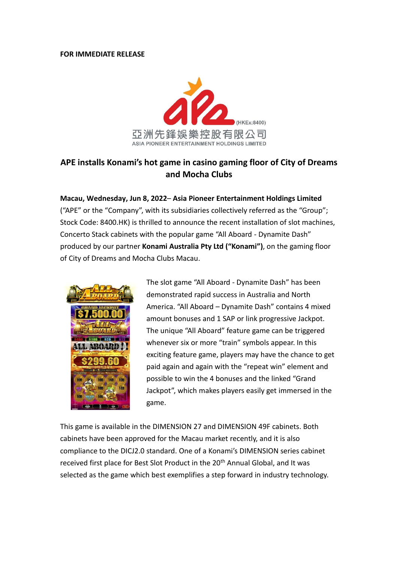## **FOR IMMEDIATE RELEASE**



## **APE installs Konami's hot game in casino gaming floor of City of Dreams and Mocha Clubs**

**Macau, Wednesday, Jun 8, 2022**– **Asia Pioneer Entertainment Holdings Limited**  ("APE" or the "Company", with its subsidiaries collectively referred as the "Group"; Stock Code: 8400.HK) is thrilled to announce the recent installation of slot machines, Concerto Stack cabinets with the popular game "All Aboard - Dynamite Dash" produced by our partner **Konami Australia Pty Ltd ("Konami")**, on the gaming floor of City of Dreams and Mocha Clubs Macau.



The slot game "All Aboard - Dynamite Dash" has been demonstrated rapid success in Australia and North America. "All Aboard – Dynamite Dash" contains 4 mixed amount bonuses and 1 SAP or link progressive Jackpot. The unique "All Aboard" feature game can be triggered whenever six or more "train" symbols appear. In this exciting feature game, players may have the chance to get paid again and again with the "repeat win" element and possible to win the 4 bonuses and the linked "Grand Jackpot", which makes players easily get immersed in the game.

This game is available in the DIMENSION 27 and DIMENSION 49F cabinets. Both cabinets have been approved for the Macau market recently, and it is also compliance to the DICJ2.0 standard. One of a Konami's DIMENSION series cabinet received first place for Best Slot Product in the 20<sup>th</sup> Annual Global, and It was selected as the game which best exemplifies a step forward in industry technology.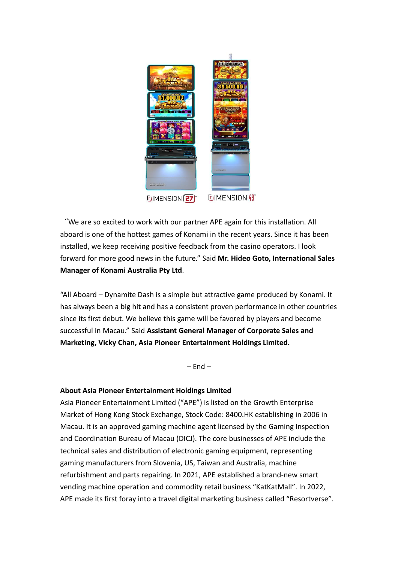

"We are so excited to work with our partner APE again for this installation. All aboard is one of the hottest games of Konami in the recent years. Since it has been installed, we keep receiving positive feedback from the casino operators. I look forward for more good news in the future." Said **Mr. Hideo Goto, International Sales Manager of Konami Australia Pty Ltd**.

"All Aboard – Dynamite Dash is a simple but attractive game produced by Konami. It has always been a big hit and has a consistent proven performance in other countries since its first debut. We believe this game will be favored by players and become successful in Macau." Said **Assistant General Manager of Corporate Sales and Marketing, Vicky Chan, Asia Pioneer Entertainment Holdings Limited.**

 $-$  End  $-$ 

## **About Asia Pioneer Entertainment Holdings Limited**

Asia Pioneer Entertainment Limited ("APE") is listed on the Growth Enterprise Market of Hong Kong Stock Exchange, Stock Code: 8400.HK establishing in 2006 in Macau. It is an approved gaming machine agent licensed by the Gaming Inspection and Coordination Bureau of Macau (DICJ). The core businesses of APE include the technical sales and distribution of electronic gaming equipment, representing gaming manufacturers from Slovenia, US, Taiwan and Australia, machine refurbishment and parts repairing. In 2021, APE established a brand-new smart vending machine operation and commodity retail business "KatKatMall". In 2022, APE made its first foray into a travel digital marketing business called "Resortverse".